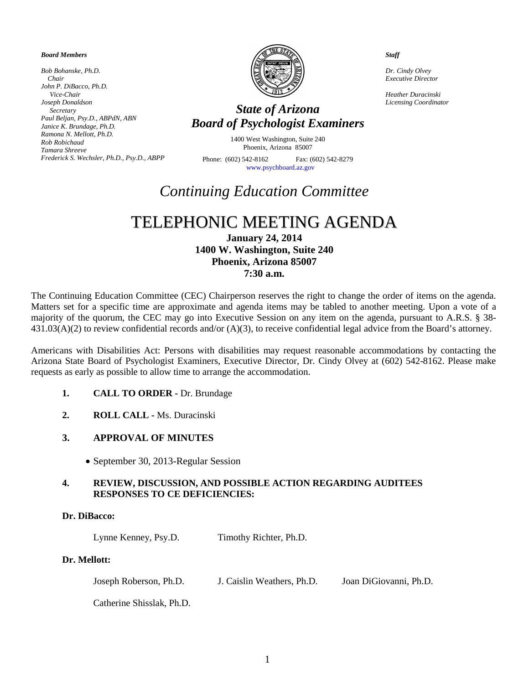#### *Board Members*

*Bob Bohanske, Ph.D. Chair John P. DiBacco, Ph.D. Vice-Chair Joseph Donaldson Secretary Paul Beljan, Psy.D., ABPdN, ABN Janice K. Brundage, Ph.D. Ramona N. Mellott, Ph.D. Rob Robichaud Tamara Shreeve Frederick S. Wechsler, Ph.D., Psy.D., ABPP*



## *Licensing Coordinator State of Arizona Board of Psychologist Examiners*

1400 West Washington, Suite 240 Phoenix, Arizona 85007

Phone: (602) 542-8162 Fax: (602) 542-8279 [www.psychboard.az.gov](http://www.psychboard.az.gov/) 

*Staff*

*Dr. Cindy Olvey Executive Director*

*Heather Duracinski*

# *Continuing Education Committee*

## TELEPHONIC MEETING AGENDA

**January 24, 2014 1400 W. Washington, Suite 240 Phoenix, Arizona 85007 7:30 a.m.**

The Continuing Education Committee (CEC) Chairperson reserves the right to change the order of items on the agenda. Matters set for a specific time are approximate and agenda items may be tabled to another meeting. Upon a vote of a majority of the quorum, the CEC may go into Executive Session on any item on the agenda, pursuant to A.R.S. § 38-  $431.03(A)(2)$  to review confidential records and/or  $(A)(3)$ , to receive confidential legal advice from the Board's attorney.

Americans with Disabilities Act: Persons with disabilities may request reasonable accommodations by contacting the Arizona State Board of Psychologist Examiners, Executive Director, Dr. Cindy Olvey at (602) 542-8162. Please make requests as early as possible to allow time to arrange the accommodation.

- **1. CALL TO ORDER -** Dr. Brundage
- **2. ROLL CALL -** Ms. Duracinski

#### **3. APPROVAL OF MINUTES**

• September 30, 2013-Regular Session

#### **4. REVIEW, DISCUSSION, AND POSSIBLE ACTION REGARDING AUDITEES RESPONSES TO CE DEFICIENCIES:**

#### **Dr. DiBacco:**

Lynne Kenney, Psy.D. Timothy Richter, Ph.D.

#### **Dr. Mellott:**

Joseph Roberson, Ph.D. J. Caislin Weathers, Ph.D. Joan DiGiovanni, Ph.D.

Catherine Shisslak, Ph.D.